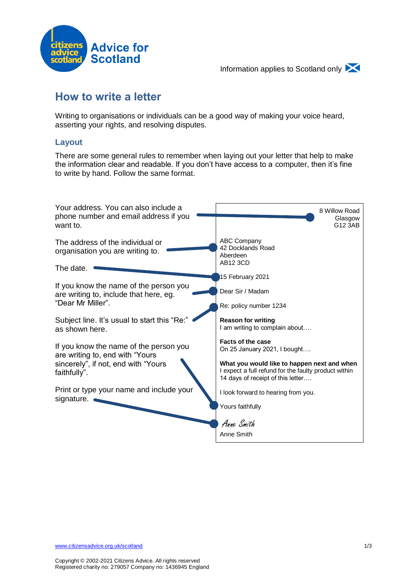



# **How to write a letter**

Writing to organisations or individuals can be a good way of making your voice heard, asserting your rights, and resolving disputes.

#### **Layout**

There are some general rules to remember when laying out your letter that help to make the information clear and readable. If you don't have access to a computer, then it's fine to write by hand. Follow the same format.

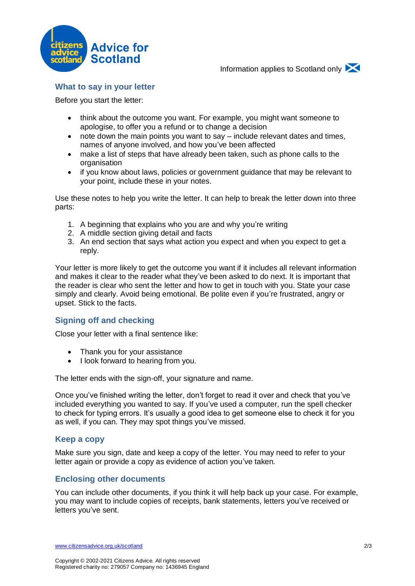

Information applies to Scotland only



Before you start the letter:

- think about the outcome you want. For example, you might want someone to apologise, to offer you a refund or to change a decision
- note down the main points you want to say include relevant dates and times, names of anyone involved, and how you've been affected
- make a list of steps that have already been taken, such as phone calls to the organisation
- if you know about laws, policies or government guidance that may be relevant to your point, include these in your notes.

Use these notes to help you write the letter. It can help to break the letter down into three parts:

- 1. A beginning that explains who you are and why you're writing
- 2. A middle section giving detail and facts
- 3. An end section that says what action you expect and when you expect to get a reply.

Your letter is more likely to get the outcome you want if it includes all relevant information and makes it clear to the reader what they've been asked to do next. It is important that the reader is clear who sent the letter and how to get in touch with you. State your case simply and clearly. Avoid being emotional. Be polite even if you're frustrated, angry or upset. Stick to the facts.

## **Signing off and checking**

Close your letter with a final sentence like:

- Thank you for your assistance
- I look forward to hearing from you.

The letter ends with the sign-off, your signature and name.

Once you've finished writing the letter, don't forget to read it over and check that you've included everything you wanted to say. If you've used a computer, run the spell checker to check for typing errors. It's usually a good idea to get someone else to check it for you as well, if you can. They may spot things you've missed.

#### **Keep a copy**

Make sure you sign, date and keep a copy of the letter. You may need to refer to your letter again or provide a copy as evidence of action you've taken.

## **Enclosing other documents**

You can include other documents, if you think it will help back up your case. For example, you may want to include copies of receipts, bank statements, letters you've received or letters you've sent.

[www.citizensadvice.org.uk/scotland](https://www.citizensadvice.org.uk/scotland) 2/3